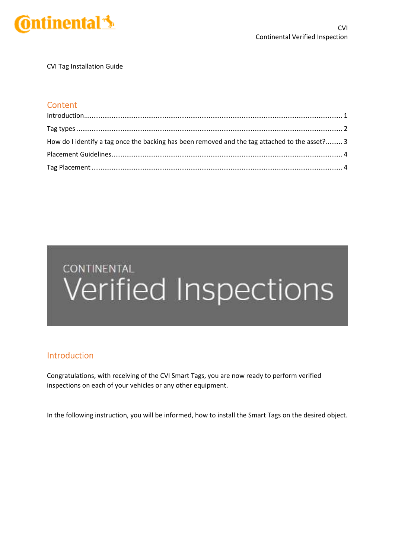

CVI Tag Installation Guide

### **Content**

| How do I identify a tag once the backing has been removed and the tag attached to the asset? 3 |  |
|------------------------------------------------------------------------------------------------|--|
|                                                                                                |  |
|                                                                                                |  |

# **CONTINENTAL** Verified Inspections

### Introduction

Congratulations, with receiving of the CVI Smart Tags, you are now ready to perform verified inspections on each of your vehicles or any other equipment.

In the following instruction, you will be informed, how to install the Smart Tags on the desired object.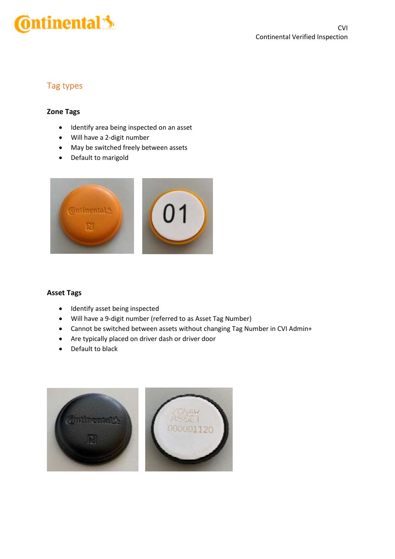# **Ontinental**

# Tag types

#### **Zone Tags**

- Identify area being inspected on an asset
- Will have a 2-digit number
- May be switched freely between assets
- Default to marigold



#### **Asset Tags**

- Identify asset being inspected
- Will have a 9-digit number (referred to as Asset Tag Number)
- Cannot be switched between assets without changing Tag Number in CVI Admin+
- Are typically placed on driver dash or driver door
- Default to black

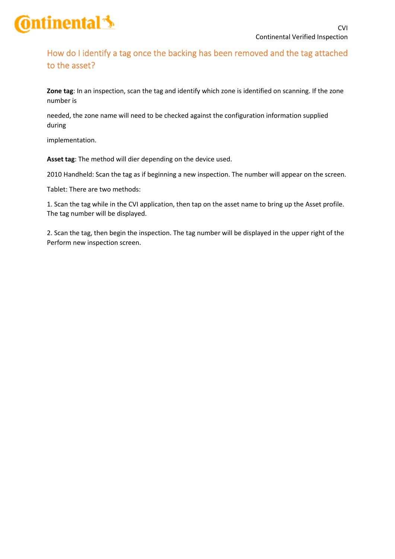

# How do I identify a tag once the backing has been removed and the tag attached to the asset?

**Zone tag**: In an inspection, scan the tag and identify which zone is identified on scanning. If the zone number is

needed, the zone name will need to be checked against the configuration information supplied during

implementation.

**Asset tag**: The method will dier depending on the device used.

2010 Handheld: Scan the tag as if beginning a new inspection. The number will appear on the screen.

Tablet: There are two methods:

1. Scan the tag while in the CVI application, then tap on the asset name to bring up the Asset profile. The tag number will be displayed.

2. Scan the tag, then begin the inspection. The tag number will be displayed in the upper right of the Perform new inspection screen.